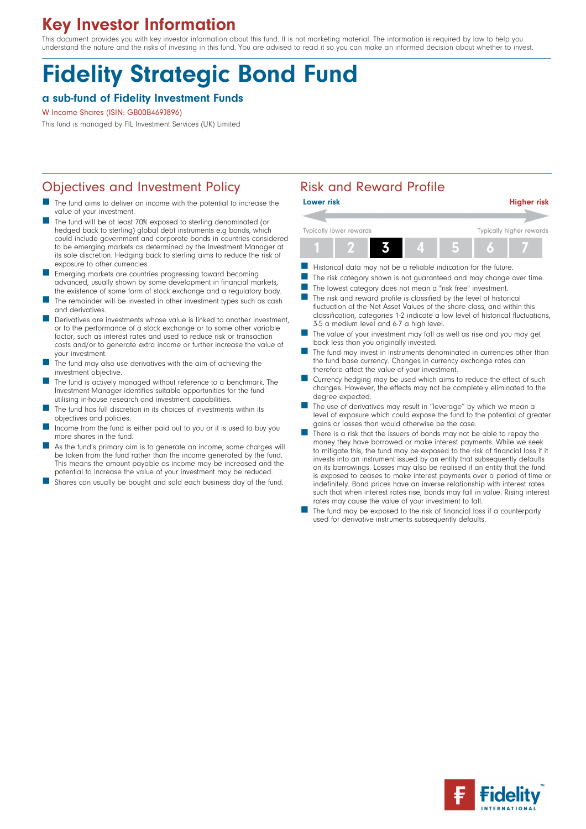# Key Investor Information

This document provides you with key investor information about this fund. It is not marketing material. The information is required by law to help you understand the nature and the risks of investing in this fund. You are advised to read it so you can make an informed decision about whether to invest.

# Fidelity Strategic Bond Fund

#### a sub-fund of Fidelity Investment Funds

W Income Shares (ISIN: GB00B469J896)

This fund is managed by FIL Investment Services (UK) Limited

### Objectives and Investment Policy **Risk and Reward Profile**

- The fund aims to deliver an income with the potential to increase the value of your investment.
- The fund will be at least 70% exposed to sterling denominated (or hedged back to sterling) global debt instruments e.g bonds, which could include government and corporate bonds in countries considered to be emerging markets as determined by the Investment Manager at its sole discretion. Hedging back to sterling aims to reduce the risk of exposure to other currencies.
- n Emerging markets are countries progressing toward becoming advanced, usually shown by some development in financial markets, the existence of some form of stock exchange and a regulatory body.
- The remainder will be invested in other investment types such as cash and derivatives.
- Derivatives are investments whose value is linked to another investment, or to the performance of a stock exchange or to some other variable factor, such as interest rates and used to reduce risk or transaction costs and/or to generate extra income or further increase the value of your investment.
- The fund may also use derivatives with the aim of achieving the investment objective.
- The fund is actively managed without reference to a benchmark. The Investment Manager identifies suitable opportunities for the fund utilising in-house research and investment capabilities.
- n The fund has full discretion in its choices of investments within its objectives and policies.
- Income from the fund is either paid out to you or it is used to buy you more shares in the fund.
- As the fund's primary aim is to generate an income, some charges will be taken from the fund rather than the income generated by the fund. This means the amount payable as income may be increased and the potential to increase the value of your investment may be reduced.
- Shares can usually be bought and sold each business day of the fund.

| <b>Lower risk</b>       | <b>Higher risk</b>       |
|-------------------------|--------------------------|
|                         |                          |
| Typically lower rewards | Typically higher rewards |
|                         |                          |

- Historical data may not be a reliable indication for the future.
- The risk category shown is not guaranteed and may change over time.
- The lowest category does not mean a "risk free" investment.
- $\blacksquare$  The risk and reward profile is classified by the level of historical fluctuation of the Net Asset Values of the share class, and within this classification, categories 1-2 indicate a low level of historical fluctuations, 3-5 a medium level and 6-7 a high level.
- The value of your investment may fall as well as rise and you may get back less than you originally invested.
- The fund may invest in instruments denominated in currencies other than the fund base currency. Changes in currency exchange rates can therefore affect the value of your investment.
- Currency hedging may be used which aims to reduce the effect of such changes. However, the effects may not be completely eliminated to the degree expected.
- The use of derivatives may result in "leverage" by which we mean a level of exposure which could expose the fund to the potential of greater gains or losses than would otherwise be the case.
- There is a risk that the issuers of bonds may not be able to repay the money they have borrowed or make interest payments. While we seek to mitigate this, the fund may be exposed to the risk of financial loss if it invests into an instrument issued by an entity that subsequently defaults on its borrowings. Losses may also be realised if an entity that the fund is exposed to ceases to make interest payments over a period of time or indefinitely. Bond prices have an inverse relationship with interest rates such that when interest rates rise, bonds may fall in value. Rising interest rates may cause the value of your investment to fall.
- The fund may be exposed to the risk of financial loss if a counterparty used for derivative instruments subsequently defaults.